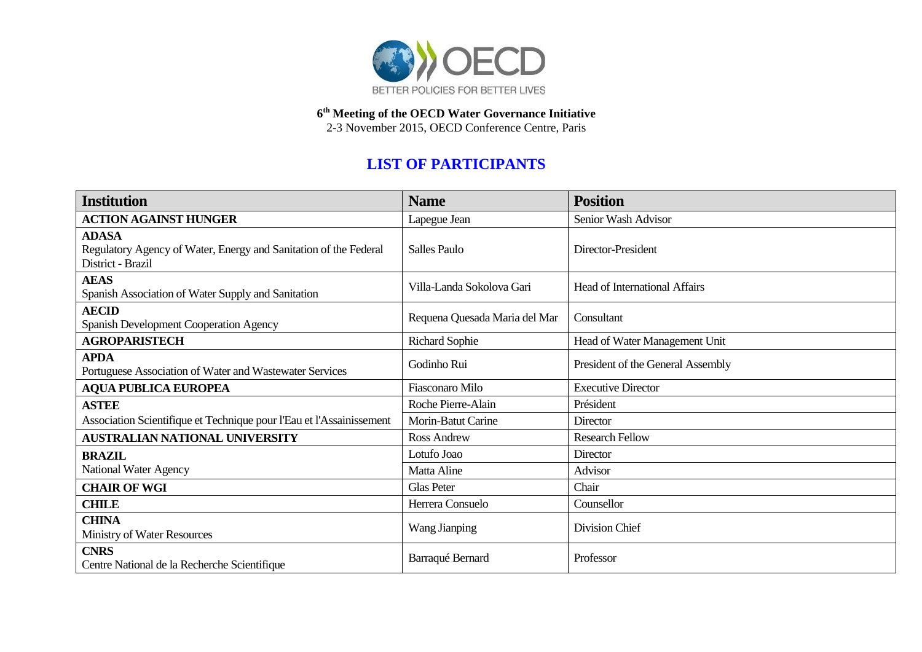

**6 th Meeting of the OECD Water Governance Initiative** 2-3 November 2015, OECD Conference Centre, Paris

## **LIST OF PARTICIPANTS**

| <b>Institution</b>                                                                                    | <b>Name</b>                   | <b>Position</b>                      |
|-------------------------------------------------------------------------------------------------------|-------------------------------|--------------------------------------|
| <b>ACTION AGAINST HUNGER</b>                                                                          | Lapegue Jean                  | Senior Wash Advisor                  |
| <b>ADASA</b><br>Regulatory Agency of Water, Energy and Sanitation of the Federal<br>District - Brazil | <b>Salles Paulo</b>           | Director-President                   |
| <b>AEAS</b><br>Spanish Association of Water Supply and Sanitation                                     | Villa-Landa Sokolova Gari     | <b>Head of International Affairs</b> |
| <b>AECID</b><br>Spanish Development Cooperation Agency                                                | Requena Quesada Maria del Mar | Consultant                           |
| <b>AGROPARISTECH</b>                                                                                  | Richard Sophie                | Head of Water Management Unit        |
| <b>APDA</b><br>Portuguese Association of Water and Wastewater Services                                | Godinho Rui                   | President of the General Assembly    |
| <b>AQUA PUBLICA EUROPEA</b>                                                                           | <b>Fiasconaro Milo</b>        | <b>Executive Director</b>            |
| <b>ASTEE</b>                                                                                          | Roche Pierre-Alain            | Président                            |
| Association Scientifique et Technique pour l'Eau et l'Assainissement                                  | Morin-Batut Carine            | Director                             |
| <b>AUSTRALIAN NATIONAL UNIVERSITY</b>                                                                 | <b>Ross Andrew</b>            | <b>Research Fellow</b>               |
| <b>BRAZIL</b>                                                                                         | Lotufo Joao                   | Director                             |
| National Water Agency                                                                                 | Matta Aline                   | Advisor                              |
| <b>CHAIR OF WGI</b>                                                                                   | <b>Glas Peter</b>             | Chair                                |
| <b>CHILE</b>                                                                                          | Herrera Consuelo              | Counsellor                           |
| <b>CHINA</b><br>Ministry of Water Resources                                                           | <b>Wang Jianping</b>          | Division Chief                       |
| <b>CNRS</b><br>Centre National de la Recherche Scientifique                                           | Barraqué Bernard              | Professor                            |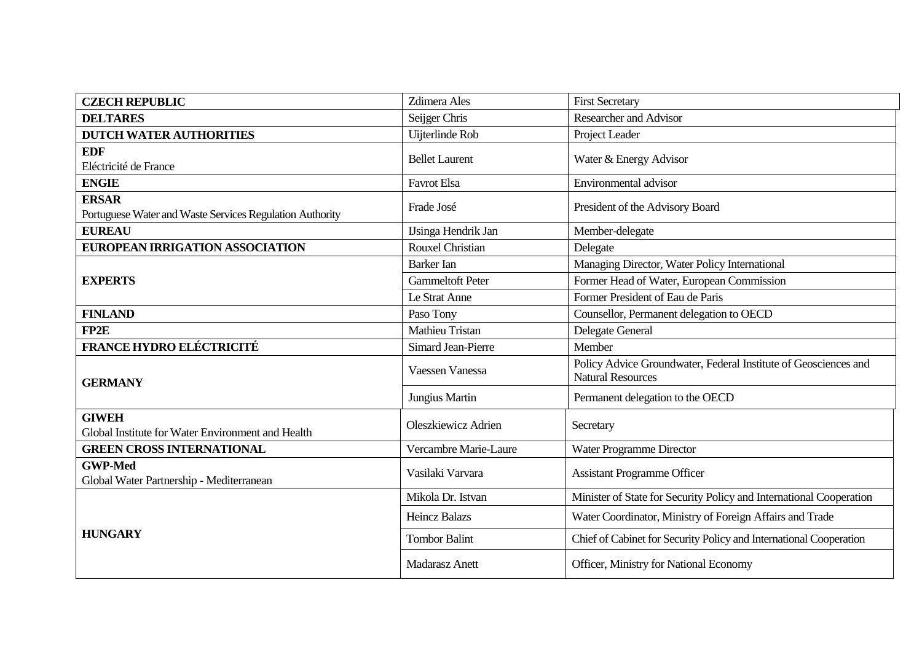| <b>CZECH REPUBLIC</b>                                                    | <b>Zdimera</b> Ales        | <b>First Secretary</b>                                                                      |
|--------------------------------------------------------------------------|----------------------------|---------------------------------------------------------------------------------------------|
| <b>DELTARES</b>                                                          | Seijger Chris              | <b>Researcher and Advisor</b>                                                               |
| <b>DUTCH WATER AUTHORITIES</b>                                           | Uijterlinde Rob            | Project Leader                                                                              |
| <b>EDF</b><br>Eléctricité de France                                      | <b>Bellet Laurent</b>      | Water & Energy Advisor                                                                      |
| <b>ENGIE</b>                                                             | <b>Favrot Elsa</b>         | Environmental advisor                                                                       |
| <b>ERSAR</b><br>Portuguese Water and Waste Services Regulation Authority | Frade José                 | President of the Advisory Board                                                             |
| <b>EUREAU</b>                                                            | <b>IJsinga Hendrik Jan</b> | Member-delegate                                                                             |
| EUROPEAN IRRIGATION ASSOCIATION                                          | <b>Rouxel Christian</b>    | Delegate                                                                                    |
|                                                                          | <b>Barker</b> Ian          | Managing Director, Water Policy International                                               |
| <b>EXPERTS</b>                                                           | <b>Gammeltoft Peter</b>    | Former Head of Water, European Commission                                                   |
|                                                                          | Le Strat Anne              | Former President of Eau de Paris                                                            |
| <b>FINLAND</b>                                                           | Paso Tony                  | Counsellor, Permanent delegation to OECD                                                    |
| FP2E                                                                     | <b>Mathieu Tristan</b>     | Delegate General                                                                            |
| <b>FRANCE HYDRO ELÉCTRICITÉ</b>                                          | <b>Simard Jean-Pierre</b>  | Member                                                                                      |
| <b>GERMANY</b>                                                           | <b>Vaessen Vanessa</b>     | Policy Advice Groundwater, Federal Institute of Geosciences and<br><b>Natural Resources</b> |
|                                                                          | Jungius Martin             | Permanent delegation to the OECD                                                            |
| <b>GIWEH</b><br>Global Institute for Water Environment and Health        | Oleszkiewicz Adrien        | Secretary                                                                                   |
| <b>GREEN CROSS INTERNATIONAL</b>                                         | Vercambre Marie-Laure      | Water Programme Director                                                                    |
| <b>GWP-Med</b><br>Global Water Partnership - Mediterranean               | Vasilaki Varvara           | <b>Assistant Programme Officer</b>                                                          |
| <b>HUNGARY</b>                                                           | Mikola Dr. Istvan          | Minister of State for Security Policy and International Cooperation                         |
|                                                                          | <b>Heincz Balazs</b>       | Water Coordinator, Ministry of Foreign Affairs and Trade                                    |
|                                                                          | <b>Tombor Balint</b>       | Chief of Cabinet for Security Policy and International Cooperation                          |
|                                                                          | Madarasz Anett             | Officer, Ministry for National Economy                                                      |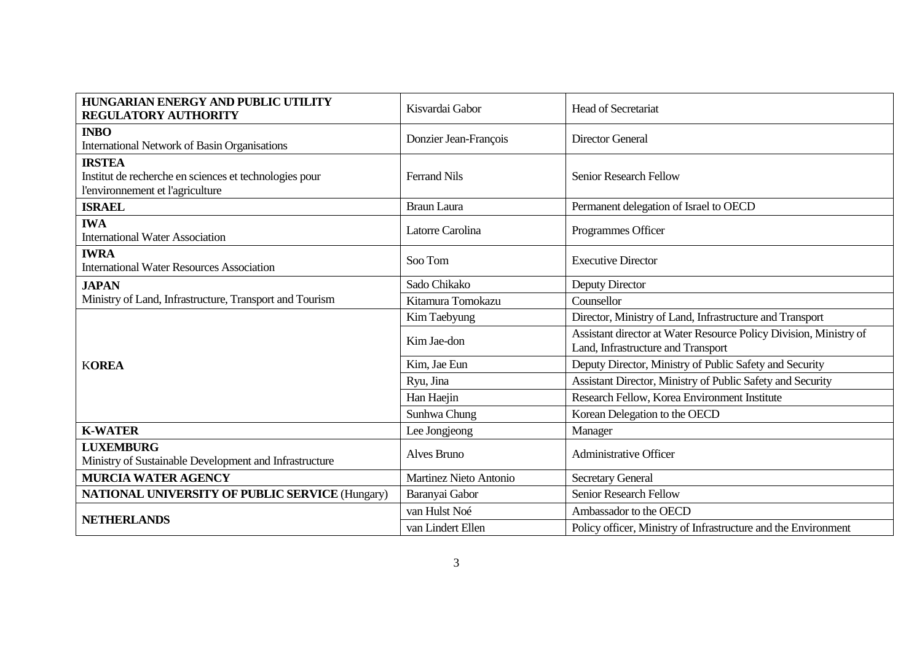| HUNGARIAN ENERGY AND PUBLIC UTILITY<br><b>REGULATORY AUTHORITY</b>                                          | Kisvardai Gabor        | <b>Head of Secretariat</b>                                                                              |
|-------------------------------------------------------------------------------------------------------------|------------------------|---------------------------------------------------------------------------------------------------------|
| <b>INBO</b><br><b>International Network of Basin Organisations</b>                                          | Donzier Jean-François  | <b>Director General</b>                                                                                 |
| <b>IRSTEA</b><br>Institut de recherche en sciences et technologies pour<br>l'environnement et l'agriculture | <b>Ferrand Nils</b>    | <b>Senior Research Fellow</b>                                                                           |
| <b>ISRAEL</b>                                                                                               | <b>Braun Laura</b>     | Permanent delegation of Israel to OECD                                                                  |
| <b>IWA</b><br><b>International Water Association</b>                                                        | Latorre Carolina       | Programmes Officer                                                                                      |
| <b>IWRA</b><br><b>International Water Resources Association</b>                                             | Soo Tom                | <b>Executive Director</b>                                                                               |
| <b>JAPAN</b>                                                                                                | Sado Chikako           | Deputy Director                                                                                         |
| Ministry of Land, Infrastructure, Transport and Tourism                                                     | Kitamura Tomokazu      | Counsellor                                                                                              |
| <b>KOREA</b>                                                                                                | Kim Taebyung           | Director, Ministry of Land, Infrastructure and Transport                                                |
|                                                                                                             | Kim Jae-don            | Assistant director at Water Resource Policy Division, Ministry of<br>Land, Infrastructure and Transport |
|                                                                                                             | Kim, Jae Eun           | Deputy Director, Ministry of Public Safety and Security                                                 |
|                                                                                                             | Ryu, Jina              | Assistant Director, Ministry of Public Safety and Security                                              |
|                                                                                                             | Han Haejin             | Research Fellow, Korea Environment Institute                                                            |
|                                                                                                             | Sunhwa Chung           | Korean Delegation to the OECD                                                                           |
| <b>K-WATER</b>                                                                                              | Lee Jongjeong          | Manager                                                                                                 |
| <b>LUXEMBURG</b><br>Ministry of Sustainable Development and Infrastructure                                  | Alves Bruno            | <b>Administrative Officer</b>                                                                           |
| <b>MURCIA WATER AGENCY</b>                                                                                  | Martinez Nieto Antonio | <b>Secretary General</b>                                                                                |
| <b>NATIONAL UNIVERSITY OF PUBLIC SERVICE (Hungary)</b>                                                      | Baranyai Gabor         | <b>Senior Research Fellow</b>                                                                           |
| <b>NETHERLANDS</b>                                                                                          | van Hulst Noé          | Ambassador to the OECD                                                                                  |
|                                                                                                             | van Lindert Ellen      | Policy officer, Ministry of Infrastructure and the Environment                                          |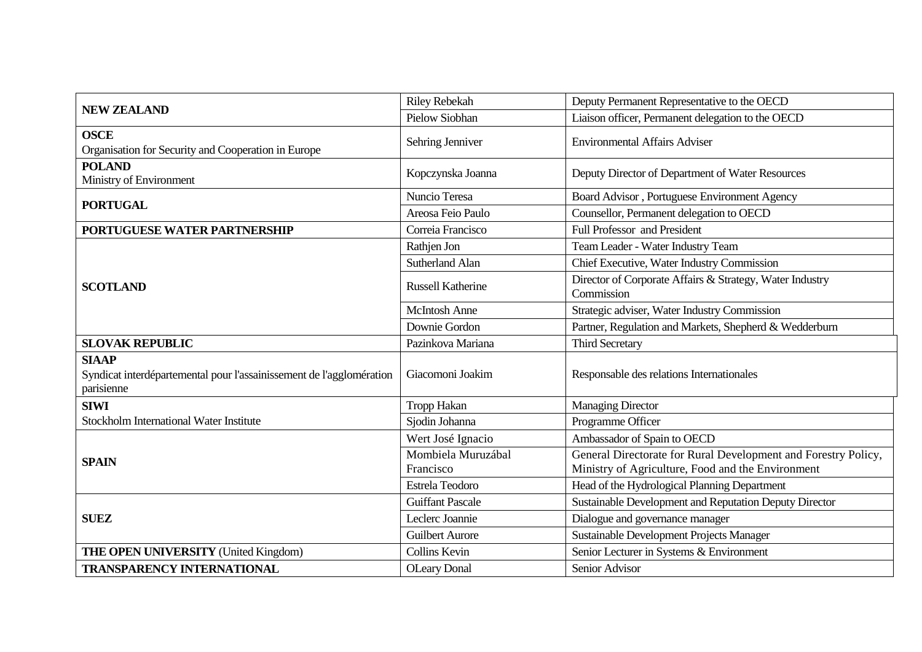| <b>NEW ZEALAND</b>                                                                                 | <b>Riley Rebekah</b>            | Deputy Permanent Representative to the OECD                                                                         |
|----------------------------------------------------------------------------------------------------|---------------------------------|---------------------------------------------------------------------------------------------------------------------|
|                                                                                                    | <b>Pielow Siobhan</b>           | Liaison officer, Permanent delegation to the OECD                                                                   |
| <b>OSCE</b><br>Organisation for Security and Cooperation in Europe                                 | Sehring Jenniver                | <b>Environmental Affairs Adviser</b>                                                                                |
| <b>POLAND</b><br>Ministry of Environment                                                           | Kopczynska Joanna               | Deputy Director of Department of Water Resources                                                                    |
|                                                                                                    | Nuncio Teresa                   | Board Advisor, Portuguese Environment Agency                                                                        |
| <b>PORTUGAL</b>                                                                                    | Areosa Feio Paulo               | Counsellor, Permanent delegation to OECD                                                                            |
| PORTUGUESE WATER PARTNERSHIP                                                                       | Correia Francisco               | <b>Full Professor and President</b>                                                                                 |
|                                                                                                    | Rathjen Jon                     | Team Leader - Water Industry Team                                                                                   |
| <b>SCOTLAND</b>                                                                                    | <b>Sutherland Alan</b>          | Chief Executive, Water Industry Commission                                                                          |
|                                                                                                    | <b>Russell Katherine</b>        | Director of Corporate Affairs & Strategy, Water Industry<br>Commission                                              |
|                                                                                                    | <b>McIntosh Anne</b>            | Strategic adviser, Water Industry Commission                                                                        |
|                                                                                                    | Downie Gordon                   | Partner, Regulation and Markets, Shepherd & Wedderburn                                                              |
| <b>SLOVAK REPUBLIC</b>                                                                             | Pazinkova Mariana               | <b>Third Secretary</b>                                                                                              |
| <b>SIAAP</b><br>Syndicat interdépartemental pour l'assainissement de l'agglomération<br>parisienne | Giacomoni Joakim                | Responsable des relations Internationales                                                                           |
| <b>SIWI</b>                                                                                        | Tropp Hakan                     | <b>Managing Director</b>                                                                                            |
| Stockholm International Water Institute                                                            | Sjodin Johanna                  | Programme Officer                                                                                                   |
| <b>SPAIN</b>                                                                                       | Wert José Ignacio               | Ambassador of Spain to OECD                                                                                         |
|                                                                                                    | Mombiela Muruzábal<br>Francisco | General Directorate for Rural Development and Forestry Policy,<br>Ministry of Agriculture, Food and the Environment |
|                                                                                                    | Estrela Teodoro                 | Head of the Hydrological Planning Department                                                                        |
|                                                                                                    | <b>Guiffant Pascale</b>         | Sustainable Development and Reputation Deputy Director                                                              |
| <b>SUEZ</b>                                                                                        | Leclerc Joannie                 | Dialogue and governance manager                                                                                     |
|                                                                                                    | <b>Guilbert Aurore</b>          | Sustainable Development Projects Manager                                                                            |
| <b>THE OPEN UNIVERSITY (United Kingdom)</b>                                                        | <b>Collins Kevin</b>            | Senior Lecturer in Systems & Environment                                                                            |
| <b>TRANSPARENCY INTERNATIONAL</b>                                                                  | <b>OLeary Donal</b>             | Senior Advisor                                                                                                      |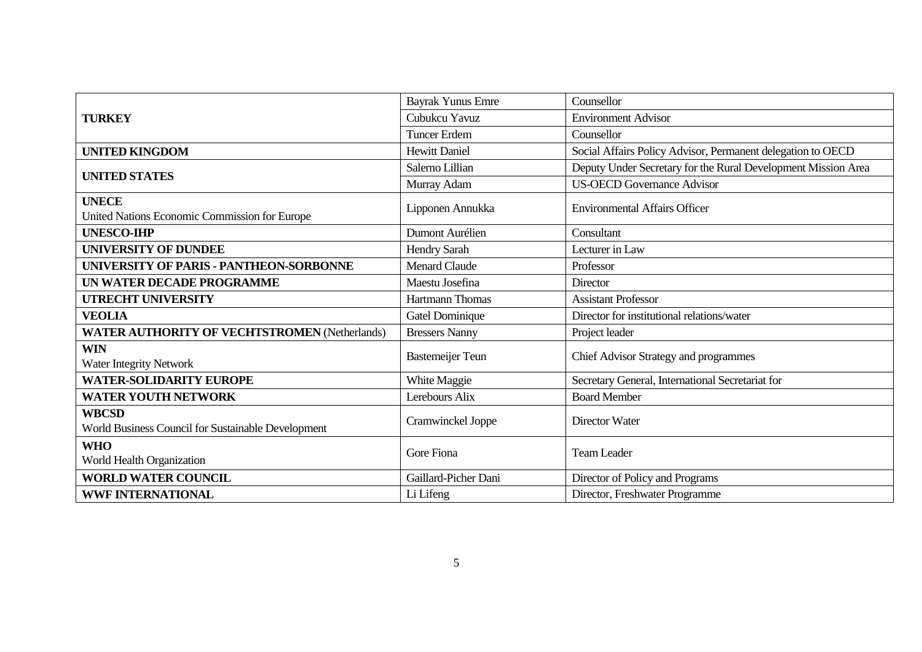|                                                                    | <b>Bayrak Yunus Emre</b> | Counsellor                                                    |
|--------------------------------------------------------------------|--------------------------|---------------------------------------------------------------|
| <b>TURKEY</b>                                                      | Cubukcu Yavuz            | <b>Environment Advisor</b>                                    |
|                                                                    | <b>Tuncer Erdem</b>      | Counsellor                                                    |
| <b>UNITED KINGDOM</b>                                              | <b>Hewitt Daniel</b>     | Social Affairs Policy Advisor, Permanent delegation to OECD   |
| <b>UNITED STATES</b>                                               | Salerno Lillian          | Deputy Under Secretary for the Rural Development Mission Area |
|                                                                    | Murray Adam              | <b>US-OECD Governance Advisor</b>                             |
| <b>UNECE</b><br>United Nations Economic Commission for Europe      | Lipponen Annukka         | <b>Environmental Affairs Officer</b>                          |
| <b>UNESCO-IHP</b>                                                  | Dumont Aurélien          | Consultant                                                    |
| <b>UNIVERSITY OF DUNDEE</b>                                        | Hendry Sarah             | Lecturer in Law                                               |
| UNIVERSITY OF PARIS - PANTHEON-SORBONNE                            | Menard Claude            | Professor                                                     |
| UN WATER DECADE PROGRAMME                                          | Maestu Josefina          | Director                                                      |
| <b>UTRECHT UNIVERSITY</b>                                          | Hartmann Thomas          | <b>Assistant Professor</b>                                    |
| <b>VEOLIA</b>                                                      | Gatel Dominique          | Director for institutional relations/water                    |
| <b>WATER AUTHORITY OF VECHTSTROMEN (Netherlands)</b>               | <b>Bressers Nanny</b>    | Project leader                                                |
| <b>WIN</b><br><b>Water Integrity Network</b>                       | <b>Bastemeijer Teun</b>  | Chief Advisor Strategy and programmes                         |
| <b>WATER-SOLIDARITY EUROPE</b>                                     | White Maggie             | Secretary General, International Secretariat for              |
| <b>WATER YOUTH NETWORK</b>                                         | Lerebours Alix           | <b>Board Member</b>                                           |
| <b>WBCSD</b><br>World Business Council for Sustainable Development | Cramwinckel Joppe        | <b>Director Water</b>                                         |
| <b>WHO</b><br>World Health Organization                            | Gore Fiona               | <b>Team Leader</b>                                            |
| <b>WORLD WATER COUNCIL</b>                                         | Gaillard-Picher Dani     | Director of Policy and Programs                               |
| <b>WWF INTERNATIONAL</b>                                           | Li Lifeng                | Director, Freshwater Programme                                |